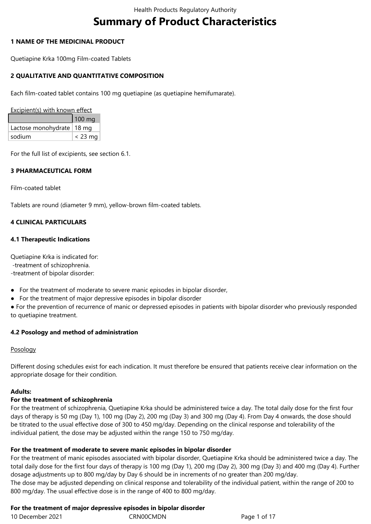# **Summary of Product Characteristics**

### **1 NAME OF THE MEDICINAL PRODUCT**

Quetiapine Krka 100mg Film-coated Tablets

### **2 QUALITATIVE AND QUANTITATIVE COMPOSITION**

Each film-coated tablet contains 100 mg quetiapine (as quetiapine hemifumarate).

Excipient(s) with known effect

|                             | $100 \text{ mg}$ |
|-----------------------------|------------------|
| Lactose monohydrate   18 mg |                  |
| sodium                      | $<$ 23 mg        |

For the full list of excipients, see section 6.1.

# **3 PHARMACEUTICAL FORM**

Film-coated tablet

Tablets are round (diameter 9 mm), yellow-brown film-coated tablets.

# **4 CLINICAL PARTICULARS**

### **4.1 Therapeutic Indications**

Quetiapine Krka is indicated for: -treatment of schizophrenia. -treatment of bipolar disorder:

- For the treatment of moderate to severe manic episodes in bipolar disorder,
- For the treatment of major depressive episodes in bipolar disorder

● For the prevention of recurrence of manic or depressed episodes in patients with bipolar disorder who previously responded to quetiapine treatment.

# **4.2 Posology and method of administration**

### Posology

Different dosing schedules exist for each indication. It must therefore be ensured that patients receive clear information on the appropriate dosage for their condition.

### **Adults:**

### **For the treatment of schizophrenia**

For the treatment of schizophrenia, Quetiapine Krka should be administered twice a day. The total daily dose for the first four days of therapy is 50 mg (Day 1), 100 mg (Day 2), 200 mg (Day 3) and 300 mg (Day 4). From Day 4 onwards, the dose should be titrated to the usual effective dose of 300 to 450 mg/day. Depending on the clinical response and tolerability of the individual patient, the dose may be adjusted within the range 150 to 750 mg/day.

### **For the treatment of moderate to severe manic episodes in bipolar disorder**

For the treatment of manic episodes associated with bipolar disorder, Quetiapine Krka should be administered twice a day. The total daily dose for the first four days of therapy is 100 mg (Day 1), 200 mg (Day 2), 300 mg (Day 3) and 400 mg (Day 4). Further dosage adjustments up to 800 mg/day by Day 6 should be in increments of no greater than 200 mg/day. The dose may be adjusted depending on clinical response and tolerability of the individual patient, within the range of 200 to 800 mg/day. The usual effective dose is in the range of 400 to 800 mg/day.

# **For the treatment of major depressive episodes in bipolar disorder**

| 10 December 2021 | CRN00 |
|------------------|-------|
|------------------|-------|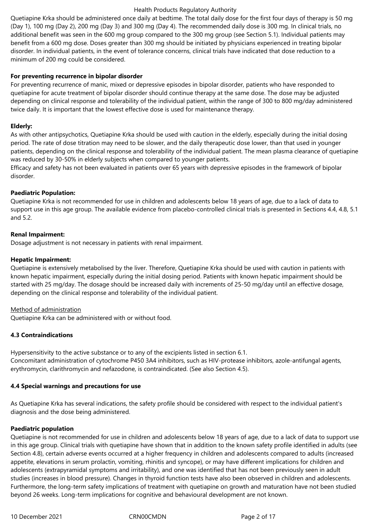Quetiapine Krka should be administered once daily at bedtime. The total daily dose for the first four days of therapy is 50 mg (Day 1), 100 mg (Day 2), 200 mg (Day 3) and 300 mg (Day 4). The recommended daily dose is 300 mg. In clinical trials, no additional benefit was seen in the 600 mg group compared to the 300 mg group (see Section 5.1). Individual patients may benefit from a 600 mg dose. Doses greater than 300 mg should be initiated by physicians experienced in treating bipolar disorder. In individual patients, in the event of tolerance concerns, clinical trials have indicated that dose reduction to a minimum of 200 mg could be considered.

### **For preventing recurrence in bipolar disorder**

For preventing recurrence of manic, mixed or depressive episodes in bipolar disorder, patients who have responded to quetiapine for acute treatment of bipolar disorder should continue therapy at the same dose. The dose may be adjusted depending on clinical response and tolerability of the individual patient, within the range of 300 to 800 mg/day administered twice daily. It is important that the lowest effective dose is used for maintenance therapy.

### **Elderly:**

As with other antipsychotics, Quetiapine Krka should be used with caution in the elderly, especially during the initial dosing period. The rate of dose titration may need to be slower, and the daily therapeutic dose lower, than that used in younger patients, depending on the clinical response and tolerability of the individual patient. The mean plasma clearance of quetiapine was reduced by 30-50% in elderly subjects when compared to younger patients.

Efficacy and safety has not been evaluated in patients over 65 years with depressive episodes in the framework of bipolar disorder.

### **Paediatric Population:**

Quetiapine Krka is not recommended for use in children and adolescents below 18 years of age, due to a lack of data to support use in this age group. The available evidence from placebo-controlled clinical trials is presented in Sections 4.4, 4.8, 5.1 and 5.2.

### **Renal Impairment:**

Dosage adjustment is not necessary in patients with renal impairment.

### **Hepatic Impairment:**

Quetiapine is extensively metabolised by the liver. Therefore, Quetiapine Krka should be used with caution in patients with known hepatic impairment, especially during the initial dosing period. Patients with known hepatic impairment should be started with 25 mg/day. The dosage should be increased daily with increments of 25-50 mg/day until an effective dosage, depending on the clinical response and tolerability of the individual patient.

# Method of administration

Quetiapine Krka can be administered with or without food.

# **4.3 Contraindications**

Hypersensitivity to the active substance or to any of the excipients listed in section 6.1. Concomitant administration of cytochrome P450 3A4 inhibitors, such as HIV-protease inhibitors, azole-antifungal agents, erythromycin, clarithromycin and nefazodone, is contraindicated. (See also Section 4.5).

# **4.4 Special warnings and precautions for use**

As Quetiapine Krka has several indications, the safety profile should be considered with respect to the individual patient's diagnosis and the dose being administered.

### **Paediatric population**

Quetiapine is not recommended for use in children and adolescents below 18 years of age, due to a lack of data to support use in this age group. Clinical trials with quetiapine have shown that in addition to the known safety profile identified in adults (see Section 4.8), certain adverse events occurred at a higher frequency in children and adolescents compared to adults (increased appetite, elevations in serum prolactin, vomiting, rhinitis and syncope), or may have different implications for children and adolescents (extrapyramidal symptoms and irritability), and one was identified that has not been previously seen in adult studies (increases in blood pressure). Changes in thyroid function tests have also been observed in children and adolescents. Furthermore, the long-term safety implications of treatment with quetiapine on growth and maturation have not been studied beyond 26 weeks. Long-term implications for cognitive and behavioural development are not known.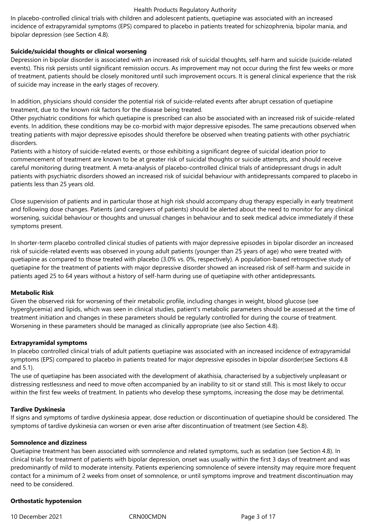In placebo-controlled clinical trials with children and adolescent patients, quetiapine was associated with an increased incidence of extrapyramidal symptoms (EPS) compared to placebo in patients treated for schizophrenia, bipolar mania, and bipolar depression (see Section 4.8).

### **Suicide/suicidal thoughts or clinical worsening**

Depression in bipolar disorder is associated with an increased risk of suicidal thoughts, self-harm and suicide (suicide-related events). This risk persists until significant remission occurs. As improvement may not occur during the first few weeks or more of treatment, patients should be closely monitored until such improvement occurs. It is general clinical experience that the risk of suicide may increase in the early stages of recovery.

In addition, physicians should consider the potential risk of suicide-related events after abrupt cessation of quetiapine treatment, due to the known risk factors for the disease being treated.

Other psychiatric conditions for which quetiapine is prescribed can also be associated with an increased risk of suicide‑related events. In addition, these conditions may be co-morbid with major depressive episodes. The same precautions observed when treating patients with major depressive episodes should therefore be observed when treating patients with other psychiatric disorders.

Patients with a history of suicide-related events, or those exhibiting a significant degree of suicidal ideation prior to commencement of treatment are known to be at greater risk of suicidal thoughts or suicide attempts, and should receive careful monitoring during treatment. A meta‑analysis of placebo‑controlled clinical trials of antidepressant drugs in adult patients with psychiatric disorders showed an increased risk of suicidal behaviour with antidepressants compared to placebo in patients less than 25 years old.

Close supervision of patients and in particular those at high risk should accompany drug therapy especially in early treatment and following dose changes. Patients (and caregivers of patients) should be alerted about the need to monitor for any clinical worsening, suicidal behaviour or thoughts and unusual changes in behaviour and to seek medical advice immediately if these symptoms present.

In shorter-term placebo controlled clinical studies of patients with major depressive episodes in bipolar disorder an increased risk of suicide-related events was observed in young adult patients (younger than 25 years of age) who were treated with quetiapine as compared to those treated with placebo (3.0% vs. 0%, respectively). A population-based retrospective study of quetiapine for the treatment of patients with major depressive disorder showed an increased risk of self-harm and suicide in patients aged 25 to 64 years without a history of self-harm during use of quetiapine with other antidepressants.

### **Metabolic Risk**

Given the observed risk for worsening of their metabolic profile, including changes in weight, blood glucose (see hyperglycemia) and lipids, which was seen in clinical studies, patient's metabolic parameters should be assessed at the time of treatment initiation and changes in these parameters should be regularly controlled for during the course of treatment. Worsening in these parameters should be managed as clinically appropriate (see also Section 4.8).

### **Extrapyramidal symptoms**

In placebo controlled clinical trials of adult patients quetiapine was associated with an increased incidence of extrapyramidal symptoms (EPS) compared to placebo in patients treated for major depressive episodes in bipolar disorder(see Sections 4.8 and 5.1).

The use of quetiapine has been associated with the development of akathisia, characterised by a subjectively unpleasant or distressing restlessness and need to move often accompanied by an inability to sit or stand still. This is most likely to occur within the first few weeks of treatment. In patients who develop these symptoms, increasing the dose may be detrimental.

### **Tardive Dyskinesia**

If signs and symptoms of tardive dyskinesia appear, dose reduction or discontinuation of quetiapine should be considered. The symptoms of tardive dyskinesia can worsen or even arise after discontinuation of treatment (see Section 4.8).

### **Somnolence and dizziness**

Quetiapine treatment has been associated with somnolence and related symptoms, such as sedation (see Section 4.8). In clinical trials for treatment of patients with bipolar depression, onset was usually within the first 3 days of treatment and was predominantly of mild to moderate intensity. Patients experiencing somnolence of severe intensity may require more frequent contact for a minimum of 2 weeks from onset of somnolence, or until symptoms improve and treatment discontinuation may need to be considered.

### **Orthostatic hypotension**

10 December 2021 CRN00CMDN Page 3 of 17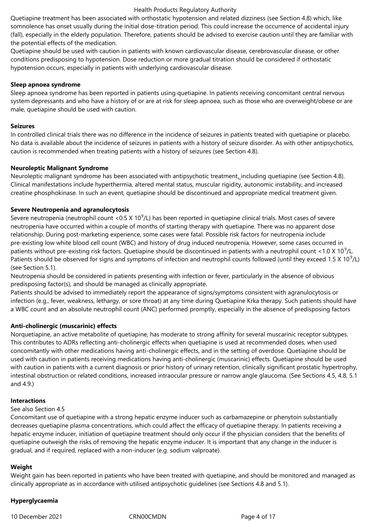Quetiapine treatment has been associated with orthostatic hypotension and related dizziness (see Section 4.8) which, like somnolence has onset usually during the initial dose-titration period. This could increase the occurrence of accidental injury (fall), especially in the elderly population. Therefore, patients should be advised to exercise caution until they are familiar with the potential effects of the medication.

Quetiapine should be used with caution in patients with known cardiovascular disease, cerebrovascular disease, or other conditions predisposing to hypotension. Dose reduction or more gradual titration should be considered if orthostatic hypotension occurs, especially in patients with underlying cardiovascular disease.

### **Sleep apnoea syndrome**

Sleep apnoea syndrome has been reported in patients using quetiapine. In patients receiving concomitant central nervous system depressants and who have a history of or are at risk for sleep apnoea, such as those who are overweight/obese or are male, quetiapine should be used with caution.

#### **Seizures**

In controlled clinical trials there was no difference in the incidence of seizures in patients treated with quetiapine or placebo. No data is available about the incidence of seizures in patients with a history of seizure disorder. As with other antipsychotics, caution is recommended when treating patients with a history of seizures (see Section 4.8).

### **Neuroleptic Malignant Syndrome**

Neuroleptic malignant syndrome has been associated with antipsychotic treatment, including quetiapine (see Section 4.8). Clinical manifestations include hyperthermia, altered mental status, muscular rigidity, autonomic instability, and increased creatine phosphokinase. In such an event, quetiapine should be discontinued and appropriate medical treatment given.

### **Severe Neutropenia and agranulocytosis**

Severe neutropenia (neutrophil count <0.5 X 10<sup>9</sup>/L) has been reported in quetiapine clinical trials. Most cases of severe neutropenia have occurred within a couple of months of starting therapy with quetiapine. There was no apparent dose relationship. During post-marketing experience, some cases were fatal. Possible risk factors for neutropenia include pre-existing low white blood cell count (WBC) and history of drug induced neutropenia. However, some cases occurred in patients without pre-existing risk factors. Quetiapine should be discontinued in patients with a neutrophil count <1.0 X 10<sup>9</sup>/L. Patients should be observed for signs and symptoms of infection and neutrophil counts followed (until they exceed 1.5 X 10 $^9$ /L) (see Section 5.1).

Neutropenia should be considered in patients presenting with infection or fever, particularly in the absence of obvious predisposing factor(s), and should be managed as clinically appropriate.

Patients should be advised to immediately report the appearance of signs/symptoms consistent with agranulocytosis or infection (e.g., fever, weakness, lethargy, or sore throat) at any time during Quetiapine Krka therapy. Such patients should have a WBC count and an absolute neutrophil count (ANC) performed promptly, especially in the absence of predisposing factors

### **Anti-cholinergic (muscarinic) effects**

Norquetiapine, an active metabolite of quetiapine, has moderate to strong affinity for several muscarinic receptor subtypes. This contributes to ADRs reflecting anti-cholinergic effects when quetiapine is used at recommended doses, when used concomitantly with other medications having anti-cholinergic effects, and in the setting of overdose. Quetiapine should be used with caution in patients receiving medications having anti-cholinergic (muscarinic) effects. Quetiapine should be used with caution in patients with a current diagnosis or prior history of urinary retention, clinically significant prostatic hypertrophy, intestinal obstruction or related conditions, increased intraocular pressure or narrow angle glaucoma. (See Sections 4.5, 4.8, 5.1 and 4.9.)

#### **Interactions**

#### See also Section 4.5

Concomitant use of quetiapine with a strong hepatic enzyme inducer such as carbamazepine or phenytoin substantially decreases quetiapine plasma concentrations, which could affect the efficacy of quetiapine therapy. In patients receiving a hepatic enzyme inducer, initiation of quetiapine treatment should only occur if the physician considers that the benefits of quetiapine outweigh the risks of removing the hepatic enzyme inducer. It is important that any change in the inducer is gradual, and if required, replaced with a non-inducer (e.g. sodium valproate).

### **Weight**

Weight gain has been reported in patients who have been treated with quetiapine, and should be monitored and managed as clinically appropriate as in accordance with utilised antipsychotic guidelines (see Sections 4.8 and 5.1).

### **Hyperglycaemia**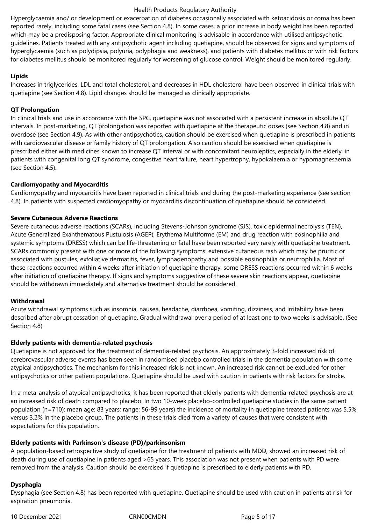Hyperglycaemia and/ or development or exacerbation of diabetes occasionally associated with ketoacidosis or coma has been reported rarely, including some fatal cases (see Section 4.8). In some cases, a prior increase in body weight has been reported which may be a predisposing factor. Appropriate clinical monitoring is advisable in accordance with utilised antipsychotic guidelines. Patients treated with any antipsychotic agent including quetiapine, should be observed for signs and symptoms of hyperglycaemia (such as polydipsia, polyuria, polyphagia and weakness), and patients with diabetes mellitus or with risk factors for diabetes mellitus should be monitored regularly for worsening of glucose control. Weight should be monitored regularly.

### **Lipids**

Increases in triglycerides, LDL and total cholesterol, and decreases in HDL cholesterol have been observed in clinical trials with quetiapine (see Section 4.8). Lipid changes should be managed as clinically appropriate.

### **QT Prolongation**

In clinical trials and use in accordance with the SPC, quetiapine was not associated with a persistent increase in absolute QT intervals. In post-marketing, QT prolongation was reported with quetiapine at the therapeutic doses (see Section 4.8) and in overdose (see Section 4.9). As with other antipsychotics, caution should be exercised when quetiapine is prescribed in patients with cardiovascular disease or family history of QT prolongation. Also caution should be exercised when quetiapine is prescribed either with medicines known to increase QT interval or with concomitant neuroleptics, especially in the elderly, in patients with congenital long QT syndrome, congestive heart failure, heart hypertrophy, hypokalaemia or hypomagnesaemia (see Section 4.5).

### **Cardiomyopathy and Myocarditis**

Cardiomyopathy and myocarditis have been reported in clinical trials and during the post-marketing experience (see section 4.8). In patients with suspected cardiomyopathy or myocarditis discontinuation of quetiapine should be considered.

### **Severe Cutaneous Adverse Reactions**

Severe cutaneous adverse reactions (SCARs), including Stevens-Johnson syndrome (SJS), toxic epidermal necrolysis (TEN), Acute Generalized Exanthematous Pustulosis (AGEP), Erythema Multiforme (EM) and drug reaction with eosinophilia and systemic symptoms (DRESS) which can be life-threatening or fatal have been reported very rarely with quetiapine treatment. SCARs commonly present with one or more of the following symptoms: extensive cutaneous rash which may be pruritic or associated with pustules, exfoliative dermatitis, fever, lymphadenopathy and possible eosinophilia or neutrophilia. Most of these reactions occurred within 4 weeks after initiation of quetiapine therapy, some DRESS reactions occurred within 6 weeks after initiation of quetiapine therapy. If signs and symptoms suggestive of these severe skin reactions appear, quetiapine should be withdrawn immediately and alternative treatment should be considered.

### **Withdrawal**

Acute withdrawal symptoms such as insomnia, nausea, headache, diarrhoea, vomiting, dizziness, and irritability have been described after abrupt cessation of quetiapine. Gradual withdrawal over a period of at least one to two weeks is advisable. (See Section 4.8)

### **Elderly patients with dementia-related psychosis**

Quetiapine is not approved for the treatment of dementia-related psychosis. An approximately 3-fold increased risk of cerebrovascular adverse events has been seen in randomised placebo controlled trials in the dementia population with some atypical antipsychotics. The mechanism for this increased risk is not known. An increased risk cannot be excluded for other antipsychotics or other patient populations. Quetiapine should be used with caution in patients with risk factors for stroke.

In a meta-analysis of atypical antipsychotics, it has been reported that elderly patients with dementia-related psychosis are at an increased risk of death compared to placebo. In two 10-week placebo-controlled quetiapine studies in the same patient population (n=710); mean age: 83 years; range: 56-99 years) the incidence of mortality in quetiapine treated patients was 5.5% versus 3.2% in the placebo group. The patients in these trials died from a variety of causes that were consistent with expectations for this population.

### **Elderly patients with Parkinson's disease (PD)/parkinsonism**

A population-based retrospective study of quetiapine for the treatment of patients with MDD, showed an increased risk of death during use of quetiapine in patients aged >65 years. This association was not present when patients with PD were removed from the analysis. Caution should be exercised if quetiapine is prescribed to elderly patients with PD.

# **Dysphagia**

Dysphagia (see Section 4.8) has been reported with quetiapine. Quetiapine should be used with caution in patients at risk for aspiration pneumonia.

10 December 2021 CRN00CMDN Page 5 of 17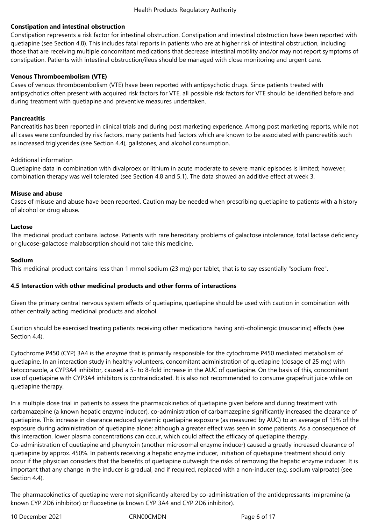### **Constipation and intestinal obstruction**

Constipation represents a risk factor for intestinal obstruction. Constipation and intestinal obstruction have been reported with quetiapine (see Section 4.8). This includes fatal reports in patients who are at higher risk of intestinal obstruction, including those that are receiving multiple concomitant medications that decrease intestinal motility and/or may not report symptoms of constipation. Patients with intestinal obstruction/ileus should be managed with close monitoring and urgent care.

### **Venous Thromboembolism (VTE)**

Cases of venous thromboembolism (VTE) have been reported with antipsychotic drugs. Since patients treated with antipsychotics often present with acquired risk factors for VTE, all possible risk factors for VTE should be identified before and during treatment with quetiapine and preventive measures undertaken.

### **Pancreatitis**

Pancreatitis has been reported in clinical trials and during post marketing experience. Among post marketing reports, while not all cases were confounded by risk factors, many patients had factors which are known to be associated with pancreatitis such as increased triglycerides (see Section 4.4), gallstones, and alcohol consumption.

### Additional information

Quetiapine data in combination with divalproex or lithium in acute moderate to severe manic episodes is limited; however, combination therapy was well tolerated (see Section 4.8 and 5.1). The data showed an additive effect at week 3.

### **Misuse and abuse**

Cases of misuse and abuse have been reported. Caution may be needed when prescribing quetiapine to patients with a history of alcohol or drug abuse.

### **Lactose**

This medicinal product contains lactose. Patients with rare hereditary problems of galactose intolerance, total lactase deficiency or glucose-galactose malabsorption should not take this medicine.

### **Sodium**

This medicinal product contains less than 1 mmol sodium (23 mg) per tablet, that is to say essentially "sodium-free".

### **4.5 Interaction with other medicinal products and other forms of interactions**

Given the primary central nervous system effects of quetiapine, quetiapine should be used with caution in combination with other centrally acting medicinal products and alcohol.

Caution should be exercised treating patients receiving other medications having anti-cholinergic (muscarinic) effects (see Section 4.4).

Cytochrome P450 (CYP) 3A4 is the enzyme that is primarily responsible for the cytochrome P450 mediated metabolism of quetiapine. In an interaction study in healthy volunteers, concomitant administration of quetiapine (dosage of 25 mg) with ketoconazole, a CYP3A4 inhibitor, caused a 5- to 8-fold increase in the AUC of quetiapine. On the basis of this, concomitant use of quetiapine with CYP3A4 inhibitors is contraindicated. It is also not recommended to consume grapefruit juice while on quetiapine therapy.

In a multiple dose trial in patients to assess the pharmacokinetics of quetiapine given before and during treatment with carbamazepine (a known hepatic enzyme inducer), co-administration of carbamazepine significantly increased the clearance of quetiapine. This increase in clearance reduced systemic quetiapine exposure (as measured by AUC) to an average of 13% of the exposure during administration of quetiapine alone; although a greater effect was seen in some patients. As a consequence of this interaction, lower plasma concentrations can occur, which could affect the efficacy of quetiapine therapy. Co-administration of quetiapine and phenytoin (another microsomal enzyme inducer) caused a greatly increased clearance of quetiapine by approx. 450%. In patients receiving a hepatic enzyme inducer, initiation of quetiapine treatment should only occur if the physician considers that the benefits of quetiapine outweigh the risks of removing the hepatic enzyme inducer. It is important that any change in the inducer is gradual, and if required, replaced with a non-inducer (e.g. sodium valproate) (see Section 4.4).

The pharmacokinetics of quetiapine were not significantly altered by co-administration of the antidepressants imipramine (a known CYP 2D6 inhibitor) or fluoxetine (a known CYP 3A4 and CYP 2D6 inhibitor).

10 December 2021 CRN00CMDN Page 6 of 17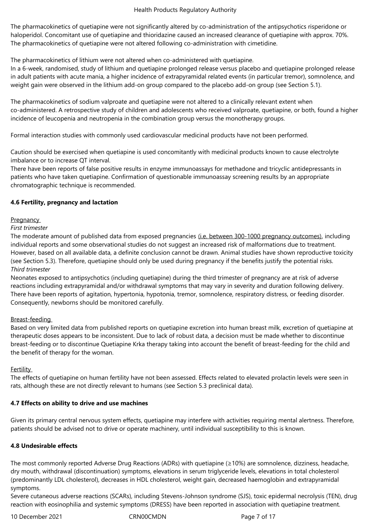The pharmacokinetics of quetiapine were not significantly altered by co-administration of the antipsychotics risperidone or haloperidol. Concomitant use of quetiapine and thioridazine caused an increased clearance of quetiapine with approx. 70%. The pharmacokinetics of quetiapine were not altered following co-administration with cimetidine.

The pharmacokinetics of lithium were not altered when co-administered with quetiapine.

In a 6-week, randomised, study of lithium and quetiapine prolonged release versus placebo and quetiapine prolonged release in adult patients with acute mania, a higher incidence of extrapyramidal related events (in particular tremor), somnolence, and weight gain were observed in the lithium add-on group compared to the placebo add-on group (see Section 5.1).

The pharmacokinetics of sodium valproate and quetiapine were not altered to a clinically relevant extent when co-administered. A retrospective study of children and adolescents who received valproate, quetiapine, or both, found a higher incidence of leucopenia and neutropenia in the combination group versus the monotherapy groups.

Formal interaction studies with commonly used cardiovascular medicinal products have not been performed.

Caution should be exercised when quetiapine is used concomitantly with medicinal products known to cause electrolyte imbalance or to increase QT interval.

There have been reports of false positive results in enzyme immunoassays for methadone and tricyclic antidepressants in patients who have taken quetiapine. Confirmation of questionable immunoassay screening results by an appropriate chromatographic technique is recommended.

# **4.6 Fertility, pregnancy and lactation**

# **Pregnancy**

*First trimester* 

The moderate amount of published data from exposed pregnancies (i.e. between 300-1000 pregnancy outcomes), including individual reports and some observational studies do not suggest an increased risk of malformations due to treatment. However, based on all available data, a definite conclusion cannot be drawn. Animal studies have shown reproductive toxicity (see Section 5.3). Therefore, quetiapine should only be used during pregnancy if the benefits justify the potential risks. *Third trimester* 

Neonates exposed to antipsychotics (including quetiapine) during the third trimester of pregnancy are at risk of adverse reactions including extrapyramidal and/or withdrawal symptoms that may vary in severity and duration following delivery. There have been reports of agitation, hypertonia, hypotonia, tremor, somnolence, respiratory distress, or feeding disorder. Consequently, newborns should be monitored carefully.

# Breast-feeding

Based on very limited data from published reports on quetiapine excretion into human breast milk, excretion of quetiapine at therapeutic doses appears to be inconsistent. Due to lack of robust data, a decision must be made whether to discontinue breast-feeding or to discontinue Quetiapine Krka therapy taking into account the benefit of breast-feeding for the child and the benefit of therapy for the woman.

# **Fertility**

The effects of quetiapine on human fertility have not been assessed. Effects related to elevated prolactin levels were seen in rats, although these are not directly relevant to humans (see Section 5.3 preclinical data).

# **4.7 Effects on ability to drive and use machines**

Given its primary central nervous system effects, quetiapine may interfere with activities requiring mental alertness. Therefore, patients should be advised not to drive or operate machinery, until individual susceptibility to this is known.

# **4.8 Undesirable effects**

The most commonly reported Adverse Drug Reactions (ADRs) with quetiapine (≥10%) are somnolence, dizziness, headache, dry mouth, withdrawal (discontinuation) symptoms, elevations in serum triglyceride levels, elevations in total cholesterol (predominantly LDL cholesterol), decreases in HDL cholesterol, weight gain, decreased haemoglobin and extrapyramidal symptoms.

Severe cutaneous adverse reactions (SCARs), including Stevens-Johnson syndrome (SJS), toxic epidermal necrolysis (TEN), drug reaction with eosinophilia and systemic symptoms (DRESS) have been reported in association with quetiapine treatment.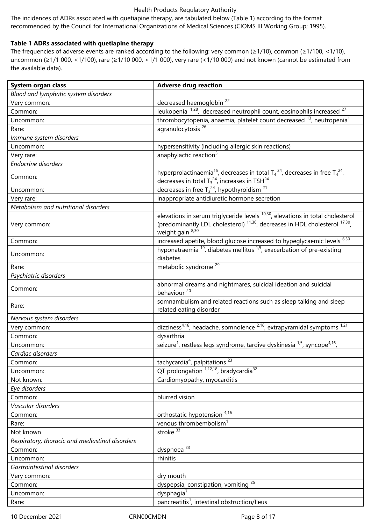The incidences of ADRs associated with quetiapine therapy, are tabulated below (Table 1) according to the format recommended by the Council for International Organizations of Medical Sciences (CIOMS III Working Group; 1995).

### **Table 1 ADRs associated with quetiapine therapy**

The frequencies of adverse events are ranked according to the following: very common (≥1/10), common (≥1/100, <1/10), uncommon (≥1/1 000, <1/100), rare (≥1/10 000, <1/1 000), very rare (<1/10 000) and not known (cannot be estimated from the available data).

| System organ class                              | <b>Adverse drug reaction</b>                                                                                                                                                                                         |  |
|-------------------------------------------------|----------------------------------------------------------------------------------------------------------------------------------------------------------------------------------------------------------------------|--|
| Blood and lymphatic system disorders            |                                                                                                                                                                                                                      |  |
| Very common:                                    | decreased haemoglobin <sup>22</sup>                                                                                                                                                                                  |  |
| Common:                                         | leukopenia $1,28$ , decreased neutrophil count, eosinophils increased $27$                                                                                                                                           |  |
| Uncommon:                                       | thrombocytopenia, anaemia, platelet count decreased <sup>13</sup> , neutropenia <sup>1</sup>                                                                                                                         |  |
| Rare:                                           | agranulocytosis <sup>26</sup>                                                                                                                                                                                        |  |
| Immune system disorders                         |                                                                                                                                                                                                                      |  |
| Uncommon:                                       | hypersensitivity (including allergic skin reactions)                                                                                                                                                                 |  |
| Very rare:                                      | anaphylactic reaction <sup>5</sup>                                                                                                                                                                                   |  |
| <b>Endocrine disorders</b>                      |                                                                                                                                                                                                                      |  |
| Common:                                         | hyperprolactinaemia <sup>15</sup> , decreases in total $T_4^{24}$ , decreases in free $T_4^{24}$ ,<br>decreases in total $T_3^{24}$ , increases in TSH $^{24}$                                                       |  |
| Uncommon:                                       | decreases in free $T_3^{24}$ , hypothyroidism <sup>21</sup>                                                                                                                                                          |  |
| Very rare:                                      | inappropriate antidiuretic hormone secretion                                                                                                                                                                         |  |
| Metabolism and nutritional disorders            |                                                                                                                                                                                                                      |  |
| Very common:                                    | elevations in serum triglyceride levels <sup>10,30</sup> , elevations in total cholesterol<br>(predominantly LDL cholesterol) <sup>11,30</sup> , decreases in HDL cholesterol <sup>17,30</sup> ,<br>weight gain 8,30 |  |
| Common:                                         | increased apetite, blood glucose increased to hypeglycaemic levels <sup>6,30</sup>                                                                                                                                   |  |
| Uncommon:                                       | hyponatraemia $^{19}$ , diabetes mellitus $^{1,5}$ , exacerbation of pre-existing<br>diabetes                                                                                                                        |  |
| Rare:                                           | metabolic syndrome <sup>29</sup>                                                                                                                                                                                     |  |
| Psychiatric disorders                           |                                                                                                                                                                                                                      |  |
| Common:                                         | abnormal dreams and nightmares, suicidal ideation and suicidal<br>behaviour <sup>20</sup>                                                                                                                            |  |
| Rare:                                           | somnambulism and related reactions such as sleep talking and sleep<br>related eating disorder                                                                                                                        |  |
| Nervous system disorders                        |                                                                                                                                                                                                                      |  |
| Very common:                                    | dizziness <sup>4,16</sup> , headache, somnolence <sup>2,16</sup> , extrapyramidal symptoms <sup>1,21</sup>                                                                                                           |  |
| Common:                                         | dysarthria                                                                                                                                                                                                           |  |
| Uncommon:                                       | seizure <sup>1</sup> , restless legs syndrome, tardive dyskinesia <sup>1,5</sup> , syncope <sup>4,16</sup> ,                                                                                                         |  |
| Cardiac disorders                               |                                                                                                                                                                                                                      |  |
| Common:                                         | tachycardia <sup>4</sup> , palpitations <sup>23</sup>                                                                                                                                                                |  |
| Uncommon:                                       | QT prolongation 1,12,18, bradycardia <sup>32</sup>                                                                                                                                                                   |  |
| Not known:                                      | Cardiomyopathy, myocarditis                                                                                                                                                                                          |  |
| Eye disorders                                   |                                                                                                                                                                                                                      |  |
| Common:                                         | blurred vision                                                                                                                                                                                                       |  |
| Vascular disorders                              |                                                                                                                                                                                                                      |  |
| Common:                                         | orthostatic hypotension 4,16                                                                                                                                                                                         |  |
| Rare:                                           | venous thrombembolism <sup>1</sup>                                                                                                                                                                                   |  |
| Not known                                       | stroke $33$                                                                                                                                                                                                          |  |
| Respiratory, thoracic and mediastinal disorders |                                                                                                                                                                                                                      |  |
| Common:                                         | dyspnoea <sup>23</sup>                                                                                                                                                                                               |  |
| Uncommon:                                       | rhinitis                                                                                                                                                                                                             |  |
| Gastrointestinal disorders                      |                                                                                                                                                                                                                      |  |
| Very common:                                    | dry mouth                                                                                                                                                                                                            |  |
| Common:                                         | dyspepsia, constipation, vomiting <sup>25</sup>                                                                                                                                                                      |  |
| Uncommon:                                       | dysphagia <sup>7</sup>                                                                                                                                                                                               |  |
| Rare:                                           | pancreatitis <sup>1</sup> , intestinal obstruction/Ileus                                                                                                                                                             |  |

10 December 2021 CRN00CMDN Page 8 of 17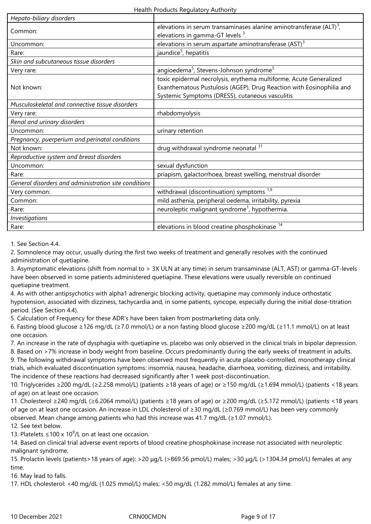| Hepato-biliary disorders                             |                                                                                                                                                                                               |  |
|------------------------------------------------------|-----------------------------------------------------------------------------------------------------------------------------------------------------------------------------------------------|--|
| Common:                                              | elevations in serum transaminases alanine aminotransferase $(ALT)^3$ ,                                                                                                                        |  |
|                                                      | elevations in gamma-GT levels $3$ .                                                                                                                                                           |  |
| Uncommon:                                            | elevations in serum aspartate aminotransferase $(AST)^3$                                                                                                                                      |  |
| Rare:                                                | jaundice <sup>5</sup> , hepatitis                                                                                                                                                             |  |
| Skin and subcutaneous tissue disorders               |                                                                                                                                                                                               |  |
| Very rare:                                           | angioedema <sup>5</sup> , Stevens-Johnson syndrome <sup>5</sup>                                                                                                                               |  |
| Not known:                                           | toxic epidermal necrolysis, erythema multiforme, Acute Generalized<br>Exanthematous Pustulosis (AGEP), Drug Reaction with Eosinophilia and<br>Systemic Symptoms (DRESS), cutaneous vasculitis |  |
| Musculoskeletal and connective tissue disorders      |                                                                                                                                                                                               |  |
| Very rare:                                           | rhabdomyolysis                                                                                                                                                                                |  |
| Renal and urinary disorders                          |                                                                                                                                                                                               |  |
| Uncommon:                                            | urinary retention                                                                                                                                                                             |  |
| Pregnancy, puerperium and perinatal conditions       |                                                                                                                                                                                               |  |
| Not known:                                           | drug withdrawal syndrome neonatal                                                                                                                                                             |  |
| Reproductive system and breast disorders             |                                                                                                                                                                                               |  |
| Uncommon:                                            | sexual dysfunction                                                                                                                                                                            |  |
| Rare:                                                | priapism, galactorrhoea, breast swelling, menstrual disorder                                                                                                                                  |  |
| General disorders and administration site conditions |                                                                                                                                                                                               |  |
| Very common:                                         | withdrawal (discontinuation) symptoms <sup>1,9</sup>                                                                                                                                          |  |
| Common:                                              | mild asthenia, peripheral oedema, irritability, pyrexia                                                                                                                                       |  |
| Rare:                                                | neuroleptic malignant syndrome <sup>1</sup> , hypothermia.                                                                                                                                    |  |
| Investigations                                       |                                                                                                                                                                                               |  |
| Rare:                                                | elevations in blood creatine phosphokinase <sup>14</sup>                                                                                                                                      |  |

1. See Section 4.4.

2. Somnolence may occur, usually during the first two weeks of treatment and generally resolves with the continued administration of quetiapine.

3. Asymptomatic elevations (shift from normal to > 3X ULN at any time) in serum transaminase (ALT, AST) or gamma-GT-levels have been observed in some patients administered quetiapine. These elevations were usually reversible on continued quetiapine treatment.

4. As with other antipsychotics with alpha1 adrenergic blocking activity, quetiapine may commonly induce orthostatic hypotension, associated with dizziness, tachycardia and, in some patients, syncope, especially during the initial dose-titration period. (See Section 4.4).

5. Calculation of Frequency for these ADR's have been taken from postmarketing data only.

6. Fasting blood glucose ≥126 mg/dL (≥7.0 mmol/L) or a non fasting blood glucose ≥200 mg/dL (≥11.1 mmol/L) on at least one occasion.

7. An increase in the rate of dysphagia with quetiapine vs. placebo was only observed in the clinical trials in bipolar depression.

8. Based on >7% increase in body weight from baseline. Occurs predominantly during the early weeks of treatment in adults.

9. The following withdrawal symptoms have been observed most frequently in acute placebo-controlled, monotherapy clinical trials, which evaluated discontinuation symptoms: insomnia, nausea, headache, diarrhoea, vomiting, dizziness, and irritability. The incidence of these reactions had decreased significantly after 1 week post-discontinuation.

10. Triglycerides ≥200 mg/dL (≥2.258 mmol/L) (patients ≥18 years of age) or ≥150 mg/dL (≥1.694 mmol/L) (patients <18 years of age) on at least one occasion.

11. Cholesterol ≥240 mg/dL (≥6.2064 mmol/L) (patients ≥18 years of age) or ≥200 mg/dL (≥5.172 mmol/L) (patients <18 years of age on at least one occasion. An increase in LDL cholesterol of ≥30 mg/dL (≥0.769 mmol/L) has been very commonly observed. Mean change among patients who had this increase was 41.7 mg/dL (≥1.07 mmol/L).

12. See text below.

13. Platelets ≤100 x 10<sup>9</sup>/L on at least one occasion.

14. Based on clinical trial adverse event reports of blood creatine phosphokinase increase not associated with neuroleptic malignant syndrome.

15. Prolactin levels (patients>18 years of age): >20 μg/L (>869.56 pmol/L) males; >30 μg/L (>1304.34 pmol/L) females at any time.

16. May lead to falls.

17. HDL cholesterol: <40 mg/dL (1.025 mmol/L) males; <50 mg/dL (1.282 mmol/L) females at any time.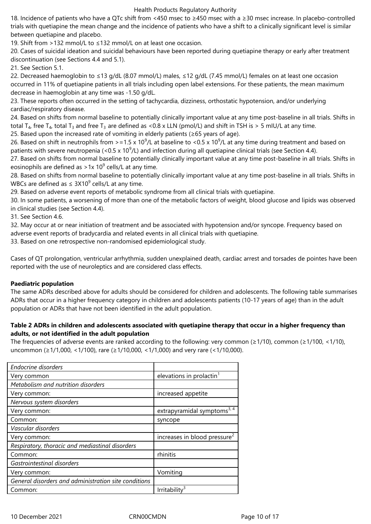18. Incidence of patients who have a QTc shift from <450 msec to ≥450 msec with a ≥30 msec increase. In placebo-controlled trials with quetiapine the mean change and the incidence of patients who have a shift to a clinically significant level is similar between quetiapine and placebo.

19. Shift from >132 mmol/L to ≤132 mmol/L on at least one occasion.

20. Cases of suicidal ideation and suicidal behaviours have been reported during quetiapine therapy or early after treatment discontinuation (see Sections 4.4 and 5.1).

21. See Section 5.1.

22. Decreased haemoglobin to ≤13 g/dL (8.07 mmol/L) males, ≤12 g/dL (7.45 mmol/L) females on at least one occasion occurred in 11% of quetiapine patients in all trials including open label extensions. For these patients, the mean maximum decrease in haemoglobin at any time was -1.50 g/dL.

23. These reports often occurred in the setting of tachycardia, dizziness, orthostatic hypotension, and/or underlying cardiac/respiratory disease.

24. Based on shifts from normal baseline to potentially clinically important value at any time post-baseline in all trials. Shifts in total T<sub>4</sub>, free T<sub>4</sub>, total T<sub>3</sub> and free T<sub>3</sub> are defined as <0.8 x LLN (pmol/L) and shift in TSH is > 5 mIU/L at any time.

25. Based upon the increased rate of vomiting in elderly patients (≥65 years of age).

26. Based on shift in neutrophils from >=1.5 x 10<sup>9</sup>/L at baseline to <0.5 x 10<sup>9</sup>/L at any time during treatment and based on patients with severe neutropenia (<0.5 x 10<sup>9</sup>/L) and infection during all quetiapine clinical trials (see Section 4.4).

27. Based on shifts from normal baseline to potentially clinically important value at any time post-baseline in all trials. Shifts in eosinophils are defined as >1x 10<sup>9</sup> cells/L at any time.

28. Based on shifts from normal baseline to potentially clinically important value at any time post-baseline in all trials. Shifts in WBCs are defined as  $\leq 3 \times 10^9$  cells/L at any time.

29. Based on adverse event reports of metabolic syndrome from all clinical trials with quetiapine.

30. In some patients, a worsening of more than one of the metabolic factors of weight, blood glucose and lipids was observed in clinical studies (see Section 4.4).

31. See Section 4.6.

32. May occur at or near initiation of treatment and be associated with hypotension and/or syncope. Frequency based on adverse event reports of bradycardia and related events in all clinical trials with quetiapine.

33. Based on one retrospective non-randomised epidemiological study.

Cases of QT prolongation, ventricular arrhythmia, sudden unexplained death, cardiac arrest and torsades de pointes have been reported with the use of neuroleptics and are considered class effects.

### **Paediatric population**

The same ADRs described above for adults should be considered for children and adolescents. The following table summarises ADRs that occur in a higher frequency category in children and adolescents patients (10-17 years of age) than in the adult population or ADRs that have not been identified in the adult population.

# **Table 2 ADRs in children and adolescents associated with quetiapine therapy that occur in a higher frequency than adults, or not identified in the adult population**

The frequencies of adverse events are ranked according to the following: very common ( $\geq$ 1/10), common ( $\geq$ 1/100, <1/10), uncommon (≥1/1,000, <1/100), rare (≥1/10,000, <1/1,000) and very rare (<1/10,000).

| <b>Endocrine disorders</b>                           |                                          |
|------------------------------------------------------|------------------------------------------|
| Very common                                          | elevations in prolactin <sup>1</sup>     |
| Metabolism and nutrition disorders                   |                                          |
| Very common:                                         | increased appetite                       |
| Nervous system disorders                             |                                          |
| Very common:                                         | extrapyramidal symptoms <sup>3, 4</sup>  |
| Common:                                              | syncope                                  |
| Vascular disorders                                   |                                          |
| Very common:                                         | increases in blood pressure <sup>2</sup> |
| Respiratory, thoracic and mediastinal disorders      |                                          |
| Common:                                              | rhinitis                                 |
| Gastrointestinal disorders                           |                                          |
| Very common:                                         | Vomiting                                 |
| General disorders and administration site conditions |                                          |
| Common:                                              | Irritability <sup>3</sup>                |
|                                                      |                                          |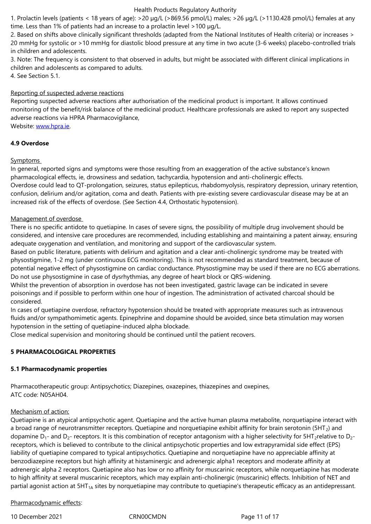2. Based on shifts above clinically significant thresholds (adapted from the National Institutes of Health criteria) or increases > 20 mmHg for systolic or >10 mmHg for diastolic blood pressure at any time in two acute (3-6 weeks) placebo-controlled trials in children and adolescents.

3. Note: The frequency is consistent to that observed in adults, but might be associated with different clinical implications in children and adolescents as compared to adults.

4. See Section 5.1.

# Reporting of suspected adverse reactions

Reporting suspected adverse reactions after authorisation of the medicinal product is important. It allows continued monitoring of the benefit/risk balance of the medicinal product. Healthcare professionals are asked to report any suspected adverse reactions via HPRA Pharmacovigilance,

Website: www.hpra.ie.

# **4.9 Overdose**

# Sympto[ms](http://www.hpra.ie/)

In general, reported signs and symptoms were those resulting from an exaggeration of the active substance's known pharmacological effects, ie, drowsiness and sedation, tachycardia, hypotension and anti-cholinergic effects. Overdose could lead to QT-prolongation, seizures, status epilepticus, rhabdomyolysis, respiratory depression, urinary retention, confusion, delirium and/or agitation, coma and death. Patients with pre-existing severe cardiovascular disease may be at an increased risk of the effects of overdose. (See Section 4.4, Orthostatic hypotension).

# Management of overdose

There is no specific antidote to quetiapine. In cases of severe signs, the possibility of multiple drug involvement should be considered, and intensive care procedures are recommended, including establishing and maintaining a patent airway, ensuring adequate oxygenation and ventilation, and monitoring and support of the cardiovascular system.

Based on public literature, patients with delirium and agitation and a clear anti‑cholinergic syndrome may be treated with physostigmine, 1-2 mg (under continuous ECG monitoring). This is not recommended as standard treatment, because of potential negative effect of physostigmine on cardiac conductance. Physostigmine may be used if there are no ECG aberrations. Do not use physostigmine in case of dysrhythmias, any degree of heart block or QRS-widening.

Whilst the prevention of absorption in overdose has not been investigated, gastric lavage can be indicated in severe poisonings and if possible to perform within one hour of ingestion. The administration of activated charcoal should be considered.

In cases of quetiapine overdose, refractory hypotension should be treated with appropriate measures such as intravenous fluids and/or sympathomimetic agents. Epinephrine and dopamine should be avoided, since beta stimulation may worsen hypotension in the setting of quetiapine-induced alpha blockade.

Close medical supervision and monitoring should be continued until the patient recovers.

# **5 PHARMACOLOGICAL PROPERTIES**

# **5.1 Pharmacodynamic properties**

Pharmacotherapeutic group: Antipsychotics; Diazepines, oxazepines, thiazepines and oxepines, ATC code: N05AH04.

# Mechanism of action:

Quetiapine is an atypical antipsychotic agent. Quetiapine and the active human plasma metabolite, norquetiapine interact with a broad range of neurotransmitter receptors. Quetiapine and norquetiapine exhibit affinity for brain serotonin ( $5HT_2$ ) and dopamine  $D_1$ - and  $D_2$ - receptors. It is this combination of receptor antagonism with a higher selectivity for  $\text{SHT}_2$ relative to  $D_2$ receptors, which is believed to contribute to the clinical antipsychotic properties and low extrapyramidal side effect (EPS) liability of quetiapine compared to typical antipsychotics. Quetiapine and norquetiapine have no appreciable affinity at benzodiazepine receptors but high affinity at histaminergic and adrenergic alpha1 receptors and moderate affinity at adrenergic alpha 2 receptors. Quetiapine also has low or no affinity for muscarinic receptors, while norquetiapine has moderate to high affinity at several muscarinic receptors, which may explain anti-cholinergic (muscarinic) effects. Inhibition of NET and partial agonist action at 5HT<sub>1A</sub> sites by norquetiapine may contribute to quetiapine's therapeutic efficacy as an antidepressant.

# Pharmacodynamic effects:

10 December 2021 CRN00CMDN Page 11 of 17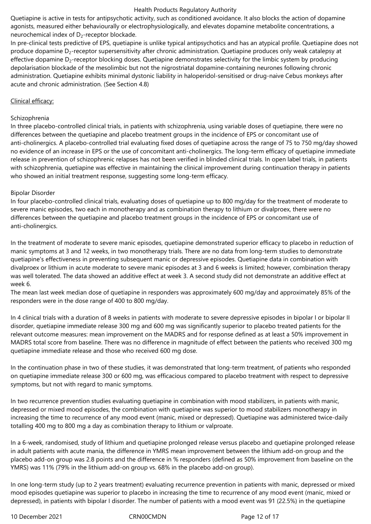Quetiapine is active in tests for antipsychotic activity, such as conditioned avoidance. It also blocks the action of dopamine agonists, measured either behaviourally or electrophysiologically, and elevates dopamine metabolite concentrations, a neurochemical index of  $D_2$ -receptor blockade.

In pre-clinical tests predictive of EPS, quetiapine is unlike typical antipsychotics and has an atypical profile. Quetiapine does not produce dopamine D<sub>2</sub>-receptor supersensitivity after chronic administration. Quetiapine produces only weak catalepsy at effective dopamine  $D<sub>2</sub>$ -receptor blocking doses. Quetiapine demonstrates selectivity for the limbic system by producing depolarisation blockade of the mesolimbic but not the nigrostriatal dopamine-containing neurones following chronic administration. Quetiapine exhibits minimal dystonic liability in haloperidol-sensitised or drug-naive Cebus monkeys after acute and chronic administration. (See Section 4.8)

### Clinical efficacy:

### Schizophrenia

In three placebo-controlled clinical trials, in patients with schizophrenia, using variable doses of quetiapine, there were no differences between the quetiapine and placebo treatment groups in the incidence of EPS or concomitant use of anti‑cholinergics. A placebo-controlled trial evaluating fixed doses of quetiapine across the range of 75 to 750 mg/day showed no evidence of an increase in EPS or the use of concomitant anti‑cholinergics. The long-term efficacy of quetiapine immediate release in prevention of schizophrenic relapses has not been verified in blinded clinical trials. In open label trials, in patients with schizophrenia, quetiapine was effective in maintaining the clinical improvement during continuation therapy in patients who showed an initial treatment response, suggesting some long-term efficacy.

### Bipolar Disorder

In four placebo-controlled clinical trials, evaluating doses of quetiapine up to 800 mg/day for the treatment of moderate to severe manic episodes, two each in monotherapy and as combination therapy to lithium or divalproex, there were no differences between the quetiapine and placebo treatment groups in the incidence of EPS or concomitant use of anti-cholinergics.

In the treatment of moderate to severe manic episodes, quetiapine demonstrated superior efficacy to placebo in reduction of manic symptoms at 3 and 12 weeks, in two monotherapy trials. There are no data from long-term studies to demonstrate quetiapine's effectiveness in preventing subsequent manic or depressive episodes. Quetiapine data in combination with divalproex or lithium in acute moderate to severe manic episodes at 3 and 6 weeks is limited; however, combination therapy was well tolerated. The data showed an additive effect at week 3. A second study did not demonstrate an additive effect at week 6.

The mean last week median dose of quetiapine in responders was approximately 600 mg/day and approximately 85% of the responders were in the dose range of 400 to 800 mg/day.

In 4 clinical trials with a duration of 8 weeks in patients with moderate to severe depressive episodes in bipolar I or bipolar II disorder, quetiapine immediate release 300 mg and 600 mg was significantly superior to placebo treated patients for the relevant outcome measures: mean improvement on the MADRS and for response defined as at least a 50% improvement in MADRS total score from baseline. There was no difference in magnitude of effect between the patients who received 300 mg quetiapine immediate release and those who received 600 mg dose.

In the continuation phase in two of these studies, it was demonstrated that long-term treatment, of patients who responded on quetiapine immediate release 300 or 600 mg, was efficacious compared to placebo treatment with respect to depressive symptoms, but not with regard to manic symptoms.

In two recurrence prevention studies evaluating quetiapine in combination with mood stabilizers, in patients with manic, depressed or mixed mood episodes, the combination with quetiapine was superior to mood stabilizers monotherapy in increasing the time to recurrence of any mood event (manic, mixed or depressed). Quetiapine was administered twice-daily totalling 400 mg to 800 mg a day as combination therapy to lithium or valproate.

In a 6-week, randomised, study of lithium and quetiapine prolonged release versus placebo and quetiapine prolonged release in adult patients with acute mania, the difference in YMRS mean improvement between the lithium add-on group and the placebo add-on group was 2.8 points and the difference in % responders (defined as 50% improvement from baseline on the YMRS) was 11% (79% in the lithium add-on group vs. 68% in the placebo add-on group).

In one long-term study (up to 2 years treatment) evaluating recurrence prevention in patients with manic, depressed or mixed mood episodes quetiapine was superior to placebo in increasing the time to recurrence of any mood event (manic, mixed or depressed), in patients with bipolar I disorder. The number of patients with a mood event was 91 (22.5%) in the quetiapine

10 December 2021 CRN00CMDN Page 12 of 17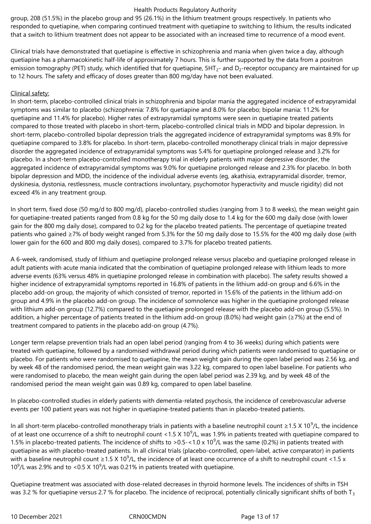group, 208 (51.5%) in the placebo group and 95 (26.1%) in the lithium treatment groups respectively. In patients who responded to quetiapine, when comparing continued treatment with quetiapine to switching to lithium, the results indicated that a switch to lithium treatment does not appear to be associated with an increased time to recurrence of a mood event.

Clinical trials have demonstrated that quetiapine is effective in schizophrenia and mania when given twice a day, although quetiapine has a pharmacokinetic half-life of approximately 7 hours. This is further supported by the data from a positron emission tomography (PET) study, which identified that for quetiapine,  $5HT_{2}$ - and  $D_{2}$ -receptor occupancy are maintained for up to 12 hours. The safety and efficacy of doses greater than 800 mg/day have not been evaluated.

### Clinical safety:

In short-term, placebo-controlled clinical trials in schizophrenia and bipolar mania the aggregated incidence of extrapyramidal symptoms was similar to placebo (schizophrenia: 7.8% for quetiapine and 8.0% for placebo; bipolar mania: 11.2% for quetiapine and 11.4% for placebo). Higher rates of extrapyramidal symptoms were seen in quetiapine treated patients compared to those treated with placebo in short-term, placebo-controlled clinical trials in MDD and bipolar depression. In short-term, placebo-controlled bipolar depression trials the aggregated incidence of extrapyramidal symptoms was 8.9% for quetiapine compared to 3.8% for placebo. In short-term, placebo-controlled monotherapy clinical trials in major depressive disorder the aggregated incidence of extrapyramidal symptoms was 5.4% for quetiapine prolonged release and 3.2% for placebo. In a short-term placebo-controlled monotherapy trial in elderly patients with major depressive disorder, the aggregated incidence of extrapyramidal symptoms was 9.0% for quetiapine prolonged release and 2.3% for placebo. In both bipolar depression and MDD, the incidence of the individual adverse events (eg, akathisia, extrapyramidal disorder, tremor, dyskinesia, dystonia, restlessness, muscle contractions involuntary, psychomotor hyperactivity and muscle rigidity) did not exceed 4% in any treatment group.

In short term, fixed dose (50 mg/d to 800 mg/d), placebo-controlled studies (ranging from 3 to 8 weeks), the mean weight gain for quetiapine-treated patients ranged from 0.8 kg for the 50 mg daily dose to 1.4 kg for the 600 mg daily dose (with lower gain for the 800 mg daily dose), compared to 0.2 kg for the placebo treated patients. The percentage of quetiapine treated patients who gained ≥7% of body weight ranged from 5.3% for the 50 mg daily dose to 15.5% for the 400 mg daily dose (with lower gain for the 600 and 800 mg daily doses), compared to 3.7% for placebo treated patients.

A 6-week, randomised, study of lithium and quetiapine prolonged release versus placebo and quetiapine prolonged release in adult patients with acute mania indicated that the combination of quetiapine prolonged release with lithium leads to more adverse events (63% versus 48% in quetiapine prolonged release in combination with placebo). The safety results showed a higher incidence of extrapyramidal symptoms reported in 16.8% of patients in the lithium add-on group and 6.6% in the placebo add-on group, the majority of which consisted of tremor, reported in 15.6% of the patients in the lithium add-on group and 4.9% in the placebo add-on group. The incidence of somnolence was higher in the quetiapine prolonged release with lithium add-on group (12.7%) compared to the quetiapine prolonged release with the placebo add-on group (5.5%). In addition, a higher percentage of patients treated in the lithium add-on group (8.0%) had weight gain (≥7%) at the end of treatment compared to patients in the placebo add-on group (4.7%).

Longer term relapse prevention trials had an open label period (ranging from 4 to 36 weeks) during which patients were treated with quetiapine, followed by a randomised withdrawal period during which patients were randomised to quetiapine or placebo. For patients who were randomised to quetiapine, the mean weight gain during the open label period was 2.56 kg, and by week 48 of the randomised period, the mean weight gain was 3.22 kg, compared to open label baseline. For patients who were randomised to placebo, the mean weight gain during the open label period was 2.39 kg, and by week 48 of the randomised period the mean weight gain was 0.89 kg, compared to open label baseline.

In placebo-controlled studies in elderly patients with dementia-related psychosis, the incidence of cerebrovascular adverse events per 100 patient years was not higher in quetiapine-treated patients than in placebo-treated patients.

In all short-term placebo-controlled monotherapy trials in patients with a baseline neutrophil count ≥1.5 X 10<sup>9</sup>/L, the incidence of at least one occurrence of a shift to neutrophil count <1.5 X 10<sup>9</sup>/L, was 1.9% in patients treated with quetiapine compared to 1.5% in placebo-treated patients. The incidence of shifts to >0.5-<1.0 x 10<sup>9</sup>/L was the same (0.2%) in patients treated with quetiapine as with placebo-treated patients. In all clinical trials (placebo-controlled, open-label, active comparator) in patients with a baseline neutrophil count ≥1.5 X 10<sup>9</sup>/L, the incidence of at least one occurrence of a shift to neutrophil count <1.5 x 10<sup>9</sup>/L was 2.9% and to <0.5 X 10<sup>9</sup>/L was 0.21% in patients treated with quetiapine.

Quetiapine treatment was associated with dose-related decreases in thyroid hormone levels. The incidences of shifts in TSH was 3.2 % for quetiapine versus 2.7 % for placebo. The incidence of reciprocal, potentially clinically significant shifts of both  $T_3$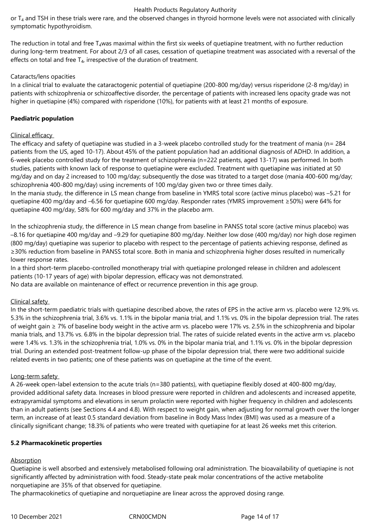or T<sub>4</sub> and TSH in these trials were rare, and the observed changes in thyroid hormone levels were not associated with clinically symptomatic hypothyroidism.

The reduction in total and free  $T_4$ was maximal within the first six weeks of quetiapine treatment, with no further reduction during long-term treatment. For about 2/3 of all cases, cessation of quetiapine treatment was associated with a reversal of the effects on total and free  $T_{4}$ , irrespective of the duration of treatment.

### Cataracts/lens opacities

In a clinical trial to evaluate the cataractogenic potential of quetiapine (200-800 mg/day) versus risperidone (2-8 mg/day) in patients with schizophrenia or schizoaffective disorder, the percentage of patients with increased lens opacity grade was not higher in quetiapine (4%) compared with risperidone (10%), for patients with at least 21 months of exposure.

# **Paediatric population**

# Clinical efficacy

The efficacy and safety of quetiapine was studied in a 3-week placebo controlled study for the treatment of mania (n= 284 patients from the US, aged 10-17). About 45% of the patient population had an additional diagnosis of ADHD. In addition, a 6-week placebo controlled study for the treatment of schizophrenia (n=222 patients, aged 13-17) was performed. In both studies, patients with known lack of response to quetiapine were excluded. Treatment with quetiapine was initiated at 50 mg/day and on day 2 increased to 100 mg/day; subsequently the dose was titrated to a target dose (mania 400-600 mg/day; schizophrenia 400-800 mg/day) using increments of 100 mg/day given two or three times daily.

In the mania study, the difference in LS mean change from baseline in YMRS total score (active minus placebo) was –5.21 for quetiapine 400 mg/day and –6.56 for quetiapine 600 mg/day. Responder rates (YMRS improvement ≥50%) were 64% for quetiapine 400 mg/day, 58% for 600 mg/day and 37% in the placebo arm.

In the schizophrenia study, the difference in LS mean change from baseline in PANSS total score (active minus placebo) was –8.16 for quetiapine 400 mg/day and –9.29 for quetiapine 800 mg/day. Neither low dose (400 mg/day) nor high dose regimen (800 mg/day) quetiapine was superior to placebo with respect to the percentage of patients achieving response, defined as ≥30% reduction from baseline in PANSS total score. Both in mania and schizophrenia higher doses resulted in numerically lower response rates.

In a third short-term placebo-controlled monotherapy trial with quetiapine prolonged release in children and adolescent patients (10-17 years of age) with bipolar depression, efficacy was not demonstrated.

No data are available on maintenance of effect or recurrence prevention in this age group.

# Clinical safety

In the short-term paediatric trials with quetiapine described above, the rates of EPS in the active arm vs. placebo were 12.9% vs. 5.3% in the schizophrenia trial, 3.6% vs. 1.1% in the bipolar mania trial, and 1.1% vs. 0% in the bipolar depression trial. The rates of weight gain ≥ 7% of baseline body weight in the active arm vs. placebo were 17% vs. 2.5% in the schizophrenia and bipolar mania trials, and 13.7% vs. 6.8% in the bipolar depression trial. The rates of suicide related events in the active arm vs. placebo were 1.4% vs. 1.3% in the schizophrenia trial, 1.0% vs. 0% in the bipolar mania trial, and 1.1% vs. 0% in the bipolar depression trial. During an extended post‑treatment follow-up phase of the bipolar depression trial, there were two additional suicide related events in two patients; one of these patients was on quetiapine at the time of the event.

### Long-term safety

A 26-week open-label extension to the acute trials (n=380 patients), with quetiapine flexibly dosed at 400-800 mg/day, provided additional safety data. Increases in blood pressure were reported in children and adolescents and increased appetite, extrapyramidal symptoms and elevations in serum prolactin were reported with higher frequency in children and adolescents than in adult patients (see Sections 4.4 and 4.8). With respect to weight gain, when adjusting for normal growth over the longer term, an increase of at least 0.5 standard deviation from baseline in Body Mass Index (BMI) was used as a measure of a clinically significant change; 18.3% of patients who were treated with quetiapine for at least 26 weeks met this criterion.

### **5.2 Pharmacokinetic properties**

### Absorption

Quetiapine is well absorbed and extensively metabolised following oral administration. The bioavailability of quetiapine is not significantly affected by administration with food. Steady-state peak molar concentrations of the active metabolite norquetiapine are 35% of that observed for quetiapine.

The pharmacokinetics of quetiapine and norquetiapine are linear across the approved dosing range.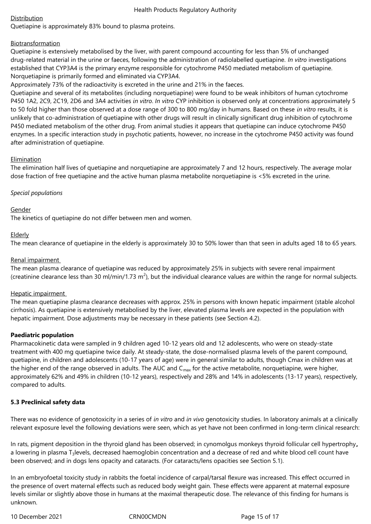# Distribution

Quetiapine is approximately 83% bound to plasma proteins.

# Biotransformation

Quetiapine is extensively metabolised by the liver, with parent compound accounting for less than 5% of unchanged drug-related material in the urine or faeces, following the administration of radiolabelled quetiapine. *In vitro* investigations established that CYP3A4 is the primary enzyme responsible for cytochrome P450 mediated metabolism of quetiapine. Norquetiapine is primarily formed and eliminated via CYP3A4.

Approximately 73% of the radioactivity is excreted in the urine and 21% in the faeces.

Quetiapine and several of its metabolites (including norquetiapine) were found to be weak inhibitors of human cytochrome P450 1A2, 2C9, 2C19, 2D6 and 3A4 activities *in vitro*. *In vitro* CYP inhibition is observed only at concentrations approximately 5 to 50 fold higher than those observed at a dose range of 300 to 800 mg/day in humans. Based on these *in vitro* results, it is unlikely that co-administration of quetiapine with other drugs will result in clinically significant drug inhibition of cytochrome P450 mediated metabolism of the other drug. From animal studies it appears that quetiapine can induce cytochrome P450 enzymes. In a specific interaction study in psychotic patients, however, no increase in the cytochrome P450 activity was found after administration of quetiapine.

# **Elimination**

The elimination half lives of quetiapine and norquetiapine are approximately 7 and 12 hours, respectively. The average molar dose fraction of free quetiapine and the active human plasma metabolite norquetiapine is <5% excreted in the urine.

# *Special populations*

# Gender

The kinetics of quetiapine do not differ between men and women.

# **Elderly**

The mean clearance of quetiapine in the elderly is approximately 30 to 50% lower than that seen in adults aged 18 to 65 years.

# Renal impairment

The mean plasma clearance of quetiapine was reduced by approximately 25% in subjects with severe renal impairment (creatinine clearance less than 30 ml/min/1.73 m<sup>2</sup>), but the individual clearance values are within the range for normal subjects.

# Hepatic impairment

The mean quetiapine plasma clearance decreases with approx. 25% in persons with known hepatic impairment (stable alcohol cirrhosis). As quetiapine is extensively metabolised by the liver, elevated plasma levels are expected in the population with hepatic impairment. Dose adjustments may be necessary in these patients (see Section 4.2).

# **Paediatric population**

Pharmacokinetic data were sampled in 9 children aged 10-12 years old and 12 adolescents, who were on steady-state treatment with 400 mg quetiapine twice daily. At steady-state, the dose-normalised plasma levels of the parent compound, quetiapine, in children and adolescents (10-17 years of age) were in general similar to adults, though Cmax in children was at the higher end of the range observed in adults. The AUC and  $C_{\text{max}}$  for the active metabolite, norquetiapine, were higher, approximately 62% and 49% in children (10-12 years), respectively and 28% and 14% in adolescents (13-17 years), respectively, compared to adults.

# **5.3 Preclinical safety data**

There was no evidence of genotoxicity in a series of *in vitro* and *in vivo* genotoxicity studies. In laboratory animals at a clinically relevant exposure level the following deviations were seen, which as yet have not been confirmed in long-term clinical research:

In rats, pigment deposition in the thyroid gland has been observed; in cynomolgus monkeys thyroid follicular cell hypertrophy**,**  a lowering in plasma T<sub>3</sub>levels, decreased haemoglobin concentration and a decrease of red and white blood cell count have been observed; and in dogs lens opacity and cataracts. (For cataracts/lens opacities see Section 5.1).

In an embryofoetal toxicity study in rabbits the foetal incidence of carpal/tarsal flexure was increased. This effect occurred in the presence of overt maternal effects such as reduced body weight gain. These effects were apparent at maternal exposure levels similar or slightly above those in humans at the maximal therapeutic dose. The relevance of this finding for humans is unknown.

10 December 2021 CRN00CMDN Page 15 of 17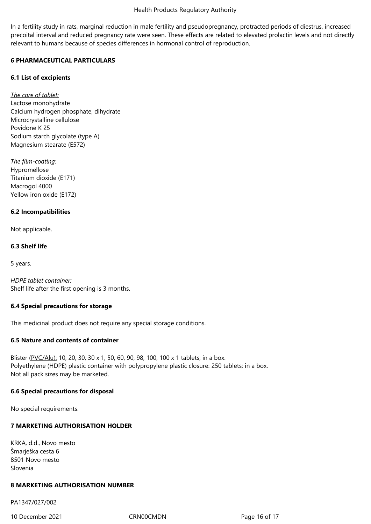In a fertility study in rats, marginal reduction in male fertility and pseudopregnancy, protracted periods of diestrus, increased precoital interval and reduced pregnancy rate were seen. These effects are related to elevated prolactin levels and not directly relevant to humans because of species differences in hormonal control of reproduction.

# **6 PHARMACEUTICAL PARTICULARS**

# **6.1 List of excipients**

*The core of tablet:* Lactose monohydrate Calcium hydrogen phosphate, dihydrate Microcrystalline cellulose Povidone K 25 Sodium starch glycolate (type A) Magnesium stearate (E572)

*The film-coating:* Hypromellose Titanium dioxide (E171) Macrogol 4000 Yellow iron oxide (E172)

# **6.2 Incompatibilities**

Not applicable.

# **6.3 Shelf life**

5 years.

*HDPE tablet container:* Shelf life after the first opening is 3 months.

# **6.4 Special precautions for storage**

This medicinal product does not require any special storage conditions.

# **6.5 Nature and contents of container**

Blister (PVC/Alu): 10, 20, 30, 30 x 1, 50, 60, 90, 98, 100, 100 x 1 tablets; in a box. Polyethylene (HDPE) plastic container with polypropylene plastic closure: 250 tablets; in a box. Not all pack sizes may be marketed.

# **6.6 Special precautions for disposal**

No special requirements.

# **7 MARKETING AUTHORISATION HOLDER**

KRKA, d.d., Novo mesto Šmarješka cesta 6 8501 Novo mesto Slovenia

# **8 MARKETING AUTHORISATION NUMBER**

PA1347/027/002

10 December 2021 CRN00CMDN Page 16 of 17